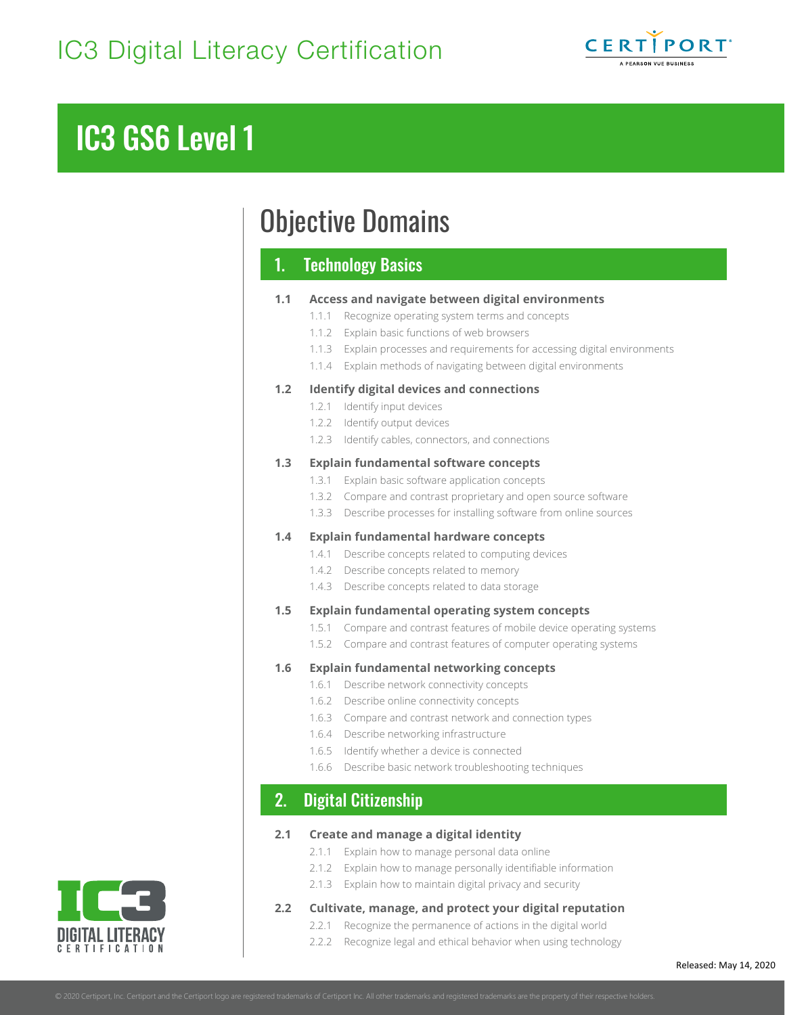

# IC3 GS6 Level 1

## Objective Domains

## 1. Technology Basics

### **1.1 Access and navigate between digital environments**

| 1.1 | Access and navigate between digital environments     |                                                                       |
|-----|------------------------------------------------------|-----------------------------------------------------------------------|
|     | 1.1.1                                                | Recognize operating system terms and concepts                         |
|     |                                                      | 1.1.2 Explain basic functions of web browsers                         |
|     | 1.1.3                                                | Explain processes and requirements for accessing digital environments |
|     |                                                      | 1.1.4 Explain methods of navigating between digital environments      |
| 1.2 | <b>Identify digital devices and connections</b>      |                                                                       |
|     | 1.2.1                                                | Identify input devices                                                |
|     |                                                      | 1.2.2 Identify output devices                                         |
|     | 1.2.3                                                | Identify cables, connectors, and connections                          |
| 1.3 | <b>Explain fundamental software concepts</b>         |                                                                       |
|     | 1.3.1                                                | Explain basic software application concepts                           |
|     |                                                      | 1.3.2 Compare and contrast proprietary and open source software       |
|     |                                                      | 1.3.3 Describe processes for installing software from online sources  |
| 1.4 | <b>Explain fundamental hardware concepts</b>         |                                                                       |
|     |                                                      | 1.4.1 Describe concepts related to computing devices                  |
|     |                                                      | 1.4.2 Describe concepts related to memory                             |
|     | 1.4.3                                                | Describe concepts related to data storage                             |
| 1.5 | <b>Explain fundamental operating system concepts</b> |                                                                       |
|     | 1.5.1                                                | Compare and contrast features of mobile device operating systems      |
|     | 1.5.2                                                | Compare and contrast features of computer operating systems           |
| 1.6 | <b>Explain fundamental networking concepts</b>       |                                                                       |
|     |                                                      | 1.6.1 Describe network connectivity concepts                          |
|     | 1.6.2                                                | Describe online connectivity concepts                                 |
|     | 1.6.3                                                | Compare and contrast network and connection types                     |
|     | 1.6.4                                                | Describe networking infrastructure                                    |
|     | 1.6.5                                                | Identify whether a device is connected                                |
|     | 1.6.6                                                | Describe basic network troubleshooting techniques                     |
| 2.  |                                                      | <b>Digital Citizenship</b>                                            |
|     |                                                      |                                                                       |

#### **2.1 Create and manage a digital identity**

- 2.1.1 Explain how to manage personal data online
- 2.1.2 Explain how to manage personally identifiable information
- 2.1.3 Explain how to maintain digital privacy and security

#### **2.2 Cultivate, manage, and protect your digital reputation**

- 2.2.1 Recognize the permanence of actions in the digital world
	- 2.2.2 Recognize legal and ethical behavior when using technology

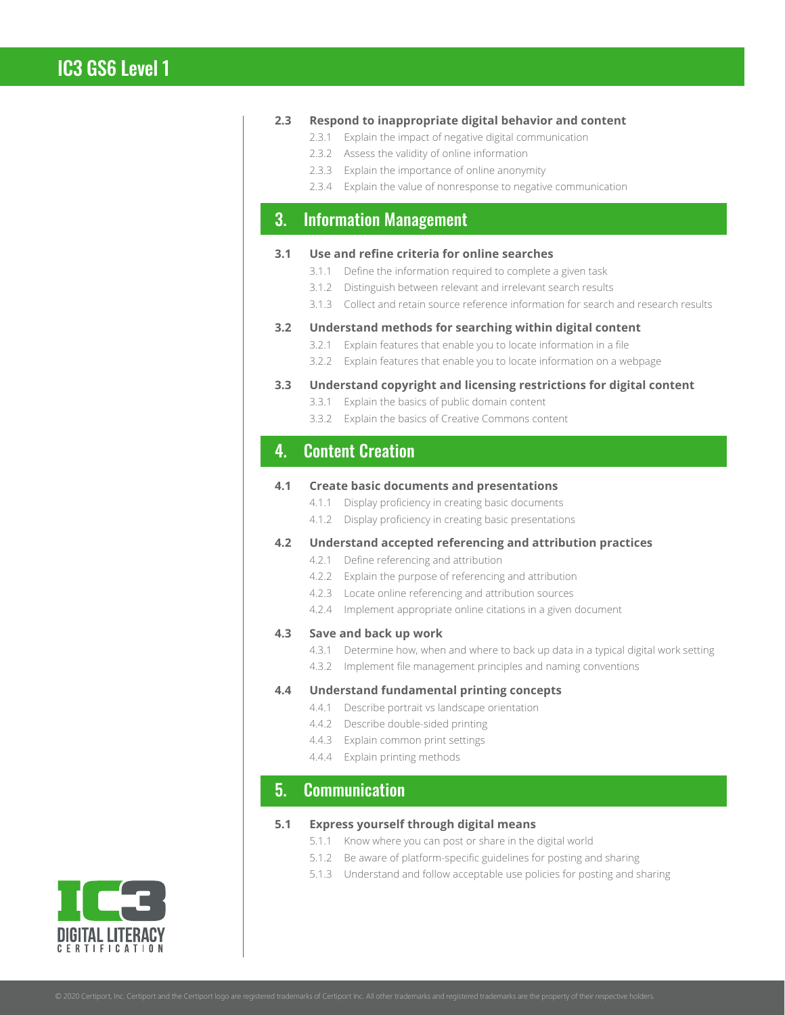#### **2.3 Respond to inappropriate digital behavior and content**

- 2.3.1 Explain the impact of negative digital communication
- 2.3.2 Assess the validity of online information
- 2.3.3 Explain the importance of online anonymity
- 2.3.4 Explain the value of nonresponse to negative communication

## 3. Information Management

#### **3.1 Use and refine criteria for online searches**

- 3.1.1 Define the information required to complete a given task
- 3.1.2 Distinguish between relevant and irrelevant search results
- 3.1.3 Collect and retain source reference information for search and research results

#### **3.2 Understand methods for searching within digital content**

- 3.2.1 Explain features that enable you to locate information in a file
- 3.2.2 Explain features that enable you to locate information on a webpage

#### **3.3 Understand copyright and licensing restrictions for digital content**

- 3.3.1 Explain the basics of public domain content
- 3.3.2 Explain the basics of Creative Commons content

## 4. Content Creation

#### **4.1 Create basic documents and presentations**

- 4.1.1 Display proficiency in creating basic documents
- 4.1.2 Display proficiency in creating basic presentations

#### **4.2 Understand accepted referencing and attribution practices**

- 4.2.1 Define referencing and attribution
- 4.2.2 Explain the purpose of referencing and attribution
- 4.2.3 Locate online referencing and attribution sources
- 4.2.4 Implement appropriate online citations in a given document

#### **4.3 Save and back up work**

- 4.3.1 Determine how, when and where to back up data in a typical digital work setting
- 4.3.2 Implement file management principles and naming conventions

#### **4.4 Understand fundamental printing concepts**

- 4.4.1 Describe portrait vs landscape orientation
- 4.4.2 Describe double-sided printing
- 4.4.3 Explain common print settings
- 4.4.4 Explain printing methods

## 5. Communication

#### **5.1 Express yourself through digital means**

- 5.1.1 Know where you can post or share in the digital world
- 5.1.2 Be aware of platform-specific guidelines for posting and sharing
- 5.1.3 Understand and follow acceptable use policies for posting and sharing